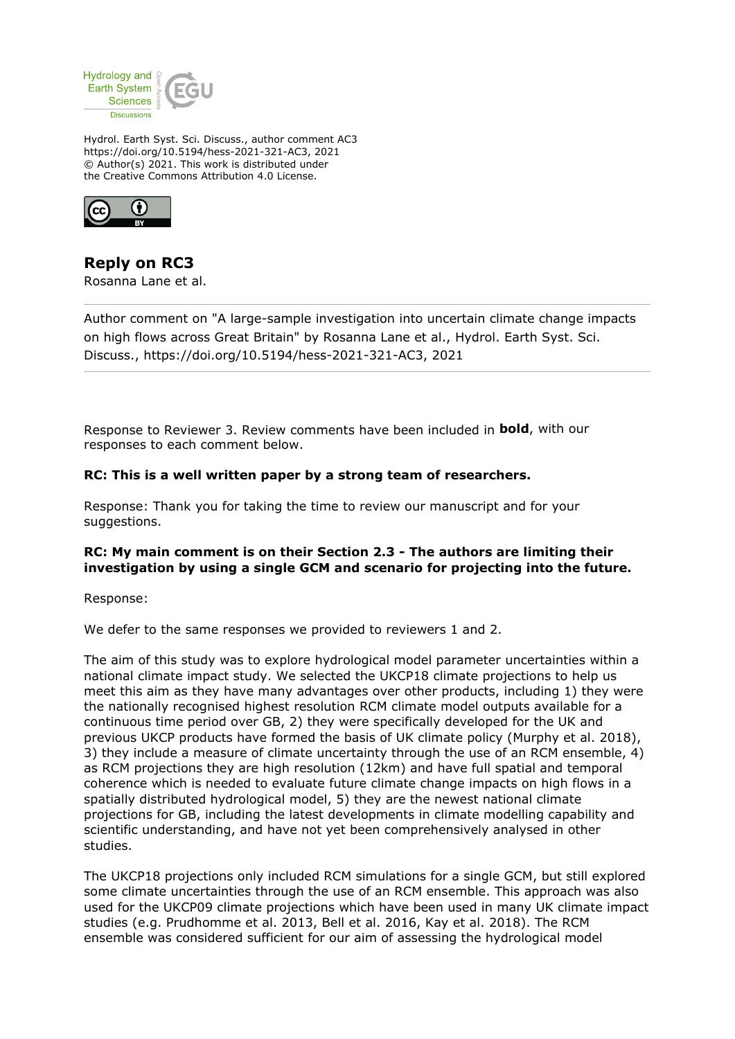

Hydrol. Earth Syst. Sci. Discuss., author comment AC3 https://doi.org/10.5194/hess-2021-321-AC3, 2021 © Author(s) 2021. This work is distributed under the Creative Commons Attribution 4.0 License.



## **Reply on RC3**

Rosanna Lane et al.

Author comment on "A large-sample investigation into uncertain climate change impacts on high flows across Great Britain" by Rosanna Lane et al., Hydrol. Earth Syst. Sci. Discuss., https://doi.org/10.5194/hess-2021-321-AC3, 2021

Response to Reviewer 3. Review comments have been included in **bold**, with our responses to each comment below.

## **RC: This is a well written paper by a strong team of researchers.**

Response: Thank you for taking the time to review our manuscript and for your suggestions.

## **RC: My main comment is on their Section 2.3 - The authors are limiting their investigation by using a single GCM and scenario for projecting into the future.**

Response:

We defer to the same responses we provided to reviewers 1 and 2.

The aim of this study was to explore hydrological model parameter uncertainties within a national climate impact study. We selected the UKCP18 climate projections to help us meet this aim as they have many advantages over other products, including 1) they were the nationally recognised highest resolution RCM climate model outputs available for a continuous time period over GB, 2) they were specifically developed for the UK and previous UKCP products have formed the basis of UK climate policy (Murphy et al. 2018), 3) they include a measure of climate uncertainty through the use of an RCM ensemble, 4) as RCM projections they are high resolution (12km) and have full spatial and temporal coherence which is needed to evaluate future climate change impacts on high flows in a spatially distributed hydrological model, 5) they are the newest national climate projections for GB, including the latest developments in climate modelling capability and scientific understanding, and have not yet been comprehensively analysed in other studies.

The UKCP18 projections only included RCM simulations for a single GCM, but still explored some climate uncertainties through the use of an RCM ensemble. This approach was also used for the UKCP09 climate projections which have been used in many UK climate impact studies (e.g. Prudhomme et al. 2013, Bell et al. 2016, Kay et al. 2018). The RCM ensemble was considered sufficient for our aim of assessing the hydrological model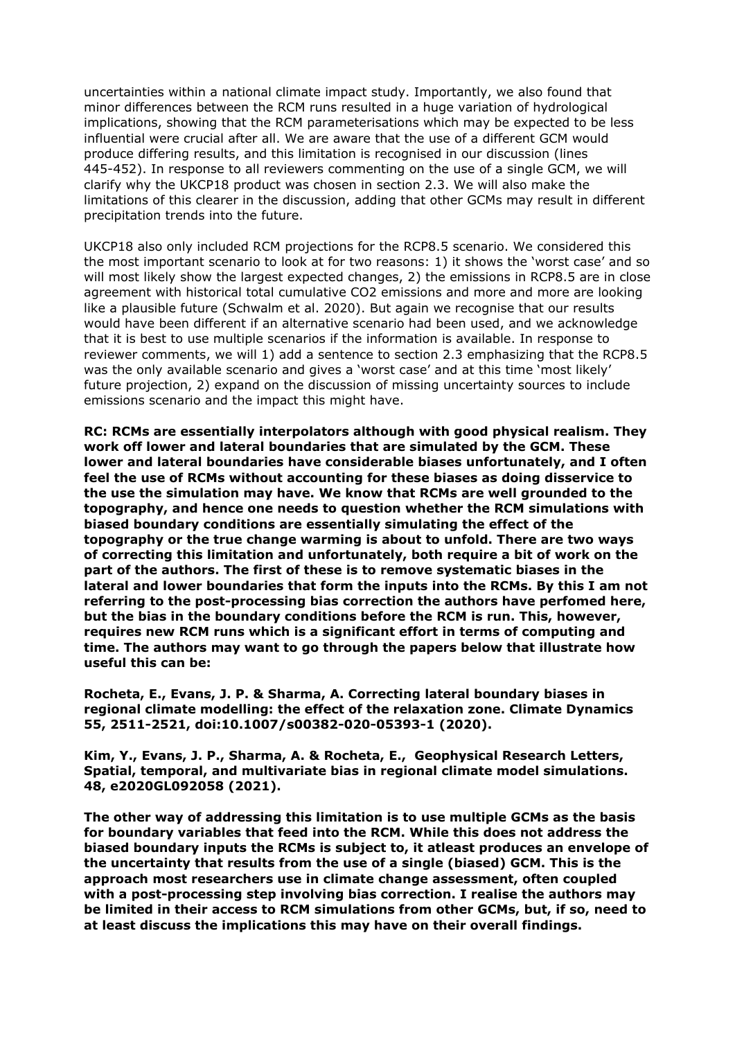uncertainties within a national climate impact study. Importantly, we also found that minor differences between the RCM runs resulted in a huge variation of hydrological implications, showing that the RCM parameterisations which may be expected to be less influential were crucial after all. We are aware that the use of a different GCM would produce differing results, and this limitation is recognised in our discussion (lines 445-452). In response to all reviewers commenting on the use of a single GCM, we will clarify why the UKCP18 product was chosen in section 2.3. We will also make the limitations of this clearer in the discussion, adding that other GCMs may result in different precipitation trends into the future.

UKCP18 also only included RCM projections for the RCP8.5 scenario. We considered this the most important scenario to look at for two reasons: 1) it shows the 'worst case' and so will most likely show the largest expected changes, 2) the emissions in RCP8.5 are in close agreement with historical total cumulative CO2 emissions and more and more are looking like a plausible future (Schwalm et al. 2020). But again we recognise that our results would have been different if an alternative scenario had been used, and we acknowledge that it is best to use multiple scenarios if the information is available. In response to reviewer comments, we will 1) add a sentence to section 2.3 emphasizing that the RCP8.5 was the only available scenario and gives a 'worst case' and at this time 'most likely' future projection, 2) expand on the discussion of missing uncertainty sources to include emissions scenario and the impact this might have.

**RC: RCMs are essentially interpolators although with good physical realism. They work off lower and lateral boundaries that are simulated by the GCM. These lower and lateral boundaries have considerable biases unfortunately, and I often feel the use of RCMs without accounting for these biases as doing disservice to the use the simulation may have. We know that RCMs are well grounded to the topography, and hence one needs to question whether the RCM simulations with biased boundary conditions are essentially simulating the effect of the topography or the true change warming is about to unfold. There are two ways of correcting this limitation and unfortunately, both require a bit of work on the part of the authors. The first of these is to remove systematic biases in the lateral and lower boundaries that form the inputs into the RCMs. By this I am not referring to the post-processing bias correction the authors have perfomed here, but the bias in the boundary conditions before the RCM is run. This, however, requires new RCM runs which is a significant effort in terms of computing and time. The authors may want to go through the papers below that illustrate how useful this can be:**

**Rocheta, E., Evans, J. P. & Sharma, A. Correcting lateral boundary biases in regional climate modelling: the effect of the relaxation zone. Climate Dynamics 55, 2511-2521, doi:10.1007/s00382-020-05393-1 (2020).**

**Kim, Y., Evans, J. P., Sharma, A. & Rocheta, E., Geophysical Research Letters, Spatial, temporal, and multivariate bias in regional climate model simulations. 48, e2020GL092058 (2021).**

**The other way of addressing this limitation is to use multiple GCMs as the basis for boundary variables that feed into the RCM. While this does not address the biased boundary inputs the RCMs is subject to, it atleast produces an envelope of the uncertainty that results from the use of a single (biased) GCM. This is the approach most researchers use in climate change assessment, often coupled with a post-processing step involving bias correction. I realise the authors may be limited in their access to RCM simulations from other GCMs, but, if so, need to at least discuss the implications this may have on their overall findings.**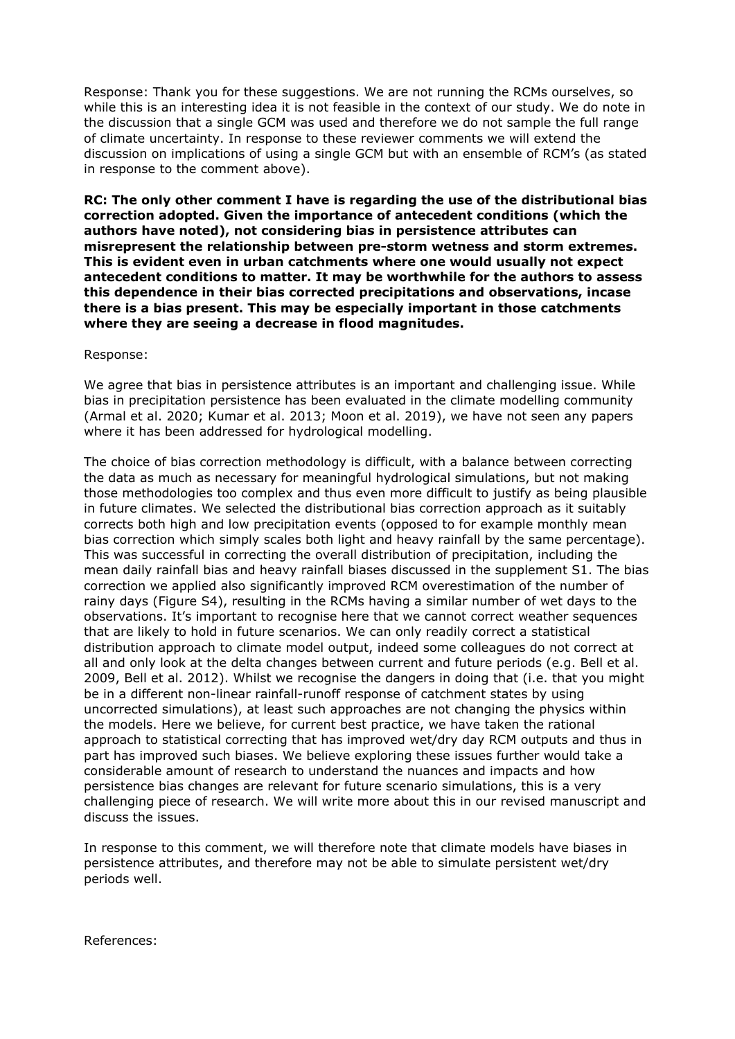Response: Thank you for these suggestions. We are not running the RCMs ourselves, so while this is an interesting idea it is not feasible in the context of our study. We do note in the discussion that a single GCM was used and therefore we do not sample the full range of climate uncertainty. In response to these reviewer comments we will extend the discussion on implications of using a single GCM but with an ensemble of RCM's (as stated in response to the comment above).

**RC: The only other comment I have is regarding the use of the distributional bias correction adopted. Given the importance of antecedent conditions (which the authors have noted), not considering bias in persistence attributes can misrepresent the relationship between pre-storm wetness and storm extremes. This is evident even in urban catchments where one would usually not expect antecedent conditions to matter. It may be worthwhile for the authors to assess this dependence in their bias corrected precipitations and observations, incase there is a bias present. This may be especially important in those catchments where they are seeing a decrease in flood magnitudes.**

Response:

We agree that bias in persistence attributes is an important and challenging issue. While bias in precipitation persistence has been evaluated in the climate modelling community (Armal et al. 2020; Kumar et al. 2013; Moon et al. 2019), we have not seen any papers where it has been addressed for hydrological modelling.

The choice of bias correction methodology is difficult, with a balance between correcting the data as much as necessary for meaningful hydrological simulations, but not making those methodologies too complex and thus even more difficult to justify as being plausible in future climates. We selected the distributional bias correction approach as it suitably corrects both high and low precipitation events (opposed to for example monthly mean bias correction which simply scales both light and heavy rainfall by the same percentage). This was successful in correcting the overall distribution of precipitation, including the mean daily rainfall bias and heavy rainfall biases discussed in the supplement S1. The bias correction we applied also significantly improved RCM overestimation of the number of rainy days (Figure S4), resulting in the RCMs having a similar number of wet days to the observations. It's important to recognise here that we cannot correct weather sequences that are likely to hold in future scenarios. We can only readily correct a statistical distribution approach to climate model output, indeed some colleagues do not correct at all and only look at the delta changes between current and future periods (e.g. Bell et al. 2009, Bell et al. 2012). Whilst we recognise the dangers in doing that (i.e. that you might be in a different non-linear rainfall-runoff response of catchment states by using uncorrected simulations), at least such approaches are not changing the physics within the models. Here we believe, for current best practice, we have taken the rational approach to statistical correcting that has improved wet/dry day RCM outputs and thus in part has improved such biases. We believe exploring these issues further would take a considerable amount of research to understand the nuances and impacts and how persistence bias changes are relevant for future scenario simulations, this is a very challenging piece of research. We will write more about this in our revised manuscript and discuss the issues.

In response to this comment, we will therefore note that climate models have biases in persistence attributes, and therefore may not be able to simulate persistent wet/dry periods well.

References: